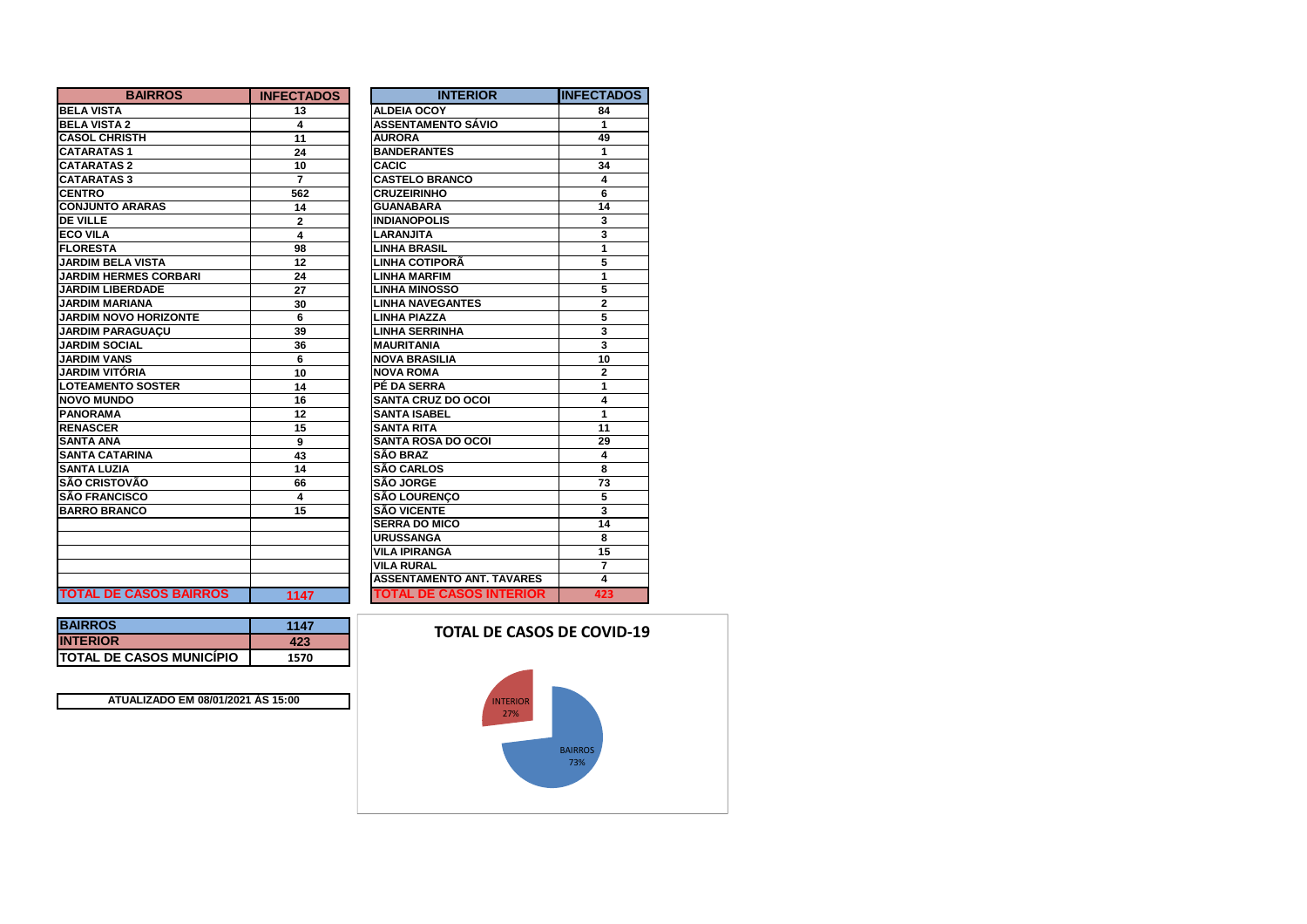| <b>BAIRROS</b>                | <b>INFECTADOS</b> | <b>INTERIOR</b>                  | IINFECTADOS    |
|-------------------------------|-------------------|----------------------------------|----------------|
| <b>BELA VISTA</b>             | 13                | <b>ALDEIA OCOY</b>               | 84             |
| <b>BELA VISTA 2</b>           | 4                 | <b>ASSENTAMENTO SÁVIO</b>        | 1              |
| <b>CASOL CHRISTH</b>          | 11                | <b>AURORA</b>                    | 49             |
| <b>CATARATAS1</b>             | 24                | <b>BANDERANTES</b>               | 1              |
| <b>CATARATAS 2</b>            | 10                | <b>CACIC</b>                     | 34             |
| <b>CATARATAS 3</b>            | 7                 | <b>CASTELO BRANCO</b>            | 4              |
| <b>CENTRO</b>                 | 562               | <b>CRUZEIRINHO</b>               | 6              |
| <b>CONJUNTO ARARAS</b>        | 14                | <b>GUANABARA</b>                 | 14             |
| <b>DE VILLE</b>               | $\mathbf{2}$      | <b>INDIANOPOLIS</b>              | 3              |
| <b>ECO VILA</b>               | 4                 | <b>LARANJITA</b>                 | 3              |
| <b>FLORESTA</b>               | 98                | <b>LINHA BRASIL</b>              | 1              |
| <b>JARDIM BELA VISTA</b>      | 12                | <b>LINHA COTIPORÃ</b>            | 5              |
| <b>JARDIM HERMES CORBARI</b>  | 24                | <b>LINHA MARFIM</b>              | 1              |
| <b>JARDIM LIBERDADE</b>       | 27                | <b>LINHA MINOSSO</b>             | 5              |
| <b>JARDIM MARIANA</b>         | 30                | <b>LINHA NAVEGANTES</b>          | $\overline{2}$ |
| <b>JARDIM NOVO HORIZONTE</b>  | 6                 | <b>LINHA PIAZZA</b>              | 5              |
| <b>JARDIM PARAGUACU</b>       | 39                | <b>LINHA SERRINHA</b>            | 3              |
| <b>JARDIM SOCIAL</b>          | 36                | <b>MAURITANIA</b>                | 3              |
| <b>JARDIM VANS</b>            | 6                 | <b>NOVA BRASILIA</b>             | 10             |
| JARDIM VITÓRIA                | 10                | <b>NOVA ROMA</b>                 | $\overline{2}$ |
| <b>LOTEAMENTO SOSTER</b>      | 14                | PÉ DA SERRA                      | 1              |
| <b>NOVO MUNDO</b>             | 16                | <b>SANTA CRUZ DO OCOI</b>        | 4              |
| <b>PANORAMA</b>               | 12                | <b>SANTA ISABEL</b>              | 1              |
| <b>RENASCER</b>               | 15                | <b>SANTA RITA</b>                | 11             |
| <b>SANTA ANA</b>              | 9                 | <b>SANTA ROSA DO OCOI</b>        | 29             |
| <b>SANTA CATARINA</b>         | 43                | <b>SÃO BRAZ</b>                  | 4              |
| <b>SANTA LUZIA</b>            | 14                | <b>SÃO CARLOS</b>                | 8              |
| <b>SÃO CRISTOVÃO</b>          | 66                | <b>SÃO JORGE</b>                 | 73             |
| <b>SÃO FRANCISCO</b>          | 4                 | <b>SÃO LOURENCO</b>              | 5              |
| <b>BARRO BRANCO</b>           | 15                | <b>SÃO VICENTE</b>               | 3              |
|                               |                   | <b>SERRA DO MICO</b>             | 14             |
|                               |                   | <b>URUSSANGA</b>                 | 8              |
|                               |                   | <b>VILA IPIRANGA</b>             | 15             |
|                               |                   | <b>VILA RURAL</b>                | $\overline{7}$ |
|                               |                   | <b>ASSENTAMENTO ANT. TAVARES</b> | 4              |
| <b>TOTAL DE CASOS BAIRROS</b> | 1147              | <b>TOTAL DE CASOS INTERIOR</b>   | 423            |

| <b>BAIRROS</b>                   | 1147 |
|----------------------------------|------|
| <b>INTERIOR</b>                  | 423  |
| <b>ITOTAL DE CASOS MUNICÍPIO</b> | 1570 |

**BAIRROS**

**ATUALIZADO EM 08/01/2021 ÀS 15:00**

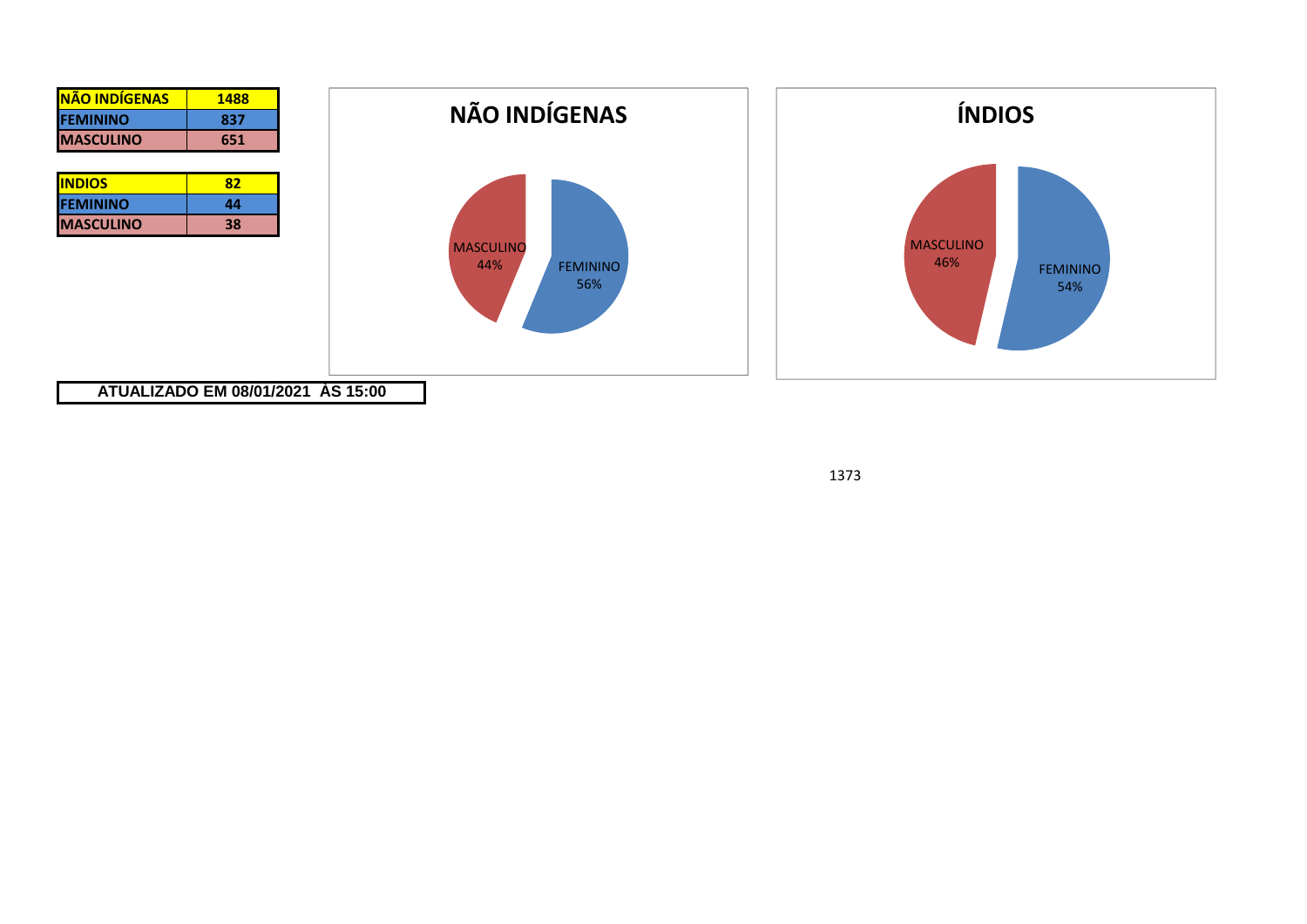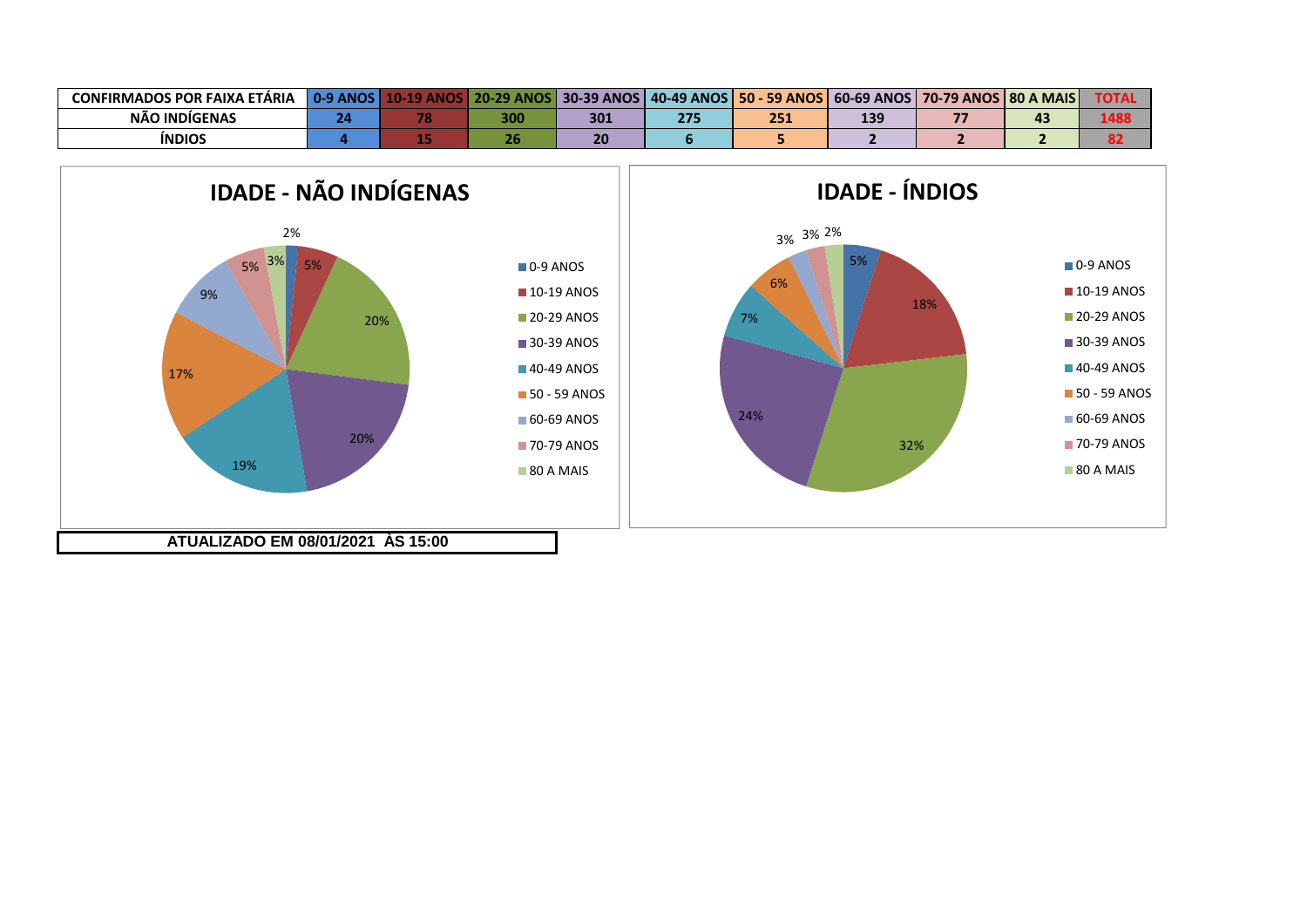| <b>CONFIRMADOS POR FAIXA ETÁRIA</b> | <b>0.9 ANOS</b> | .20.<br>ANOS | <b>30-39 ANOS</b> | <b>40-49 ANOS I</b> | <b>50 - 59 ANOS</b> | $ 60-69$ ANOS | S   70-79 ANOS   80 A MAIS |     | TOTA. |
|-------------------------------------|-----------------|--------------|-------------------|---------------------|---------------------|---------------|----------------------------|-----|-------|
| NÃO INDIGENAS                       |                 | 300          | 301               | っっこ                 | 2E1<br>Z9 J         | 139           | --                         | - 2 |       |
| <b>INDIOS</b>                       |                 |              |                   |                     |                     |               |                            |     |       |



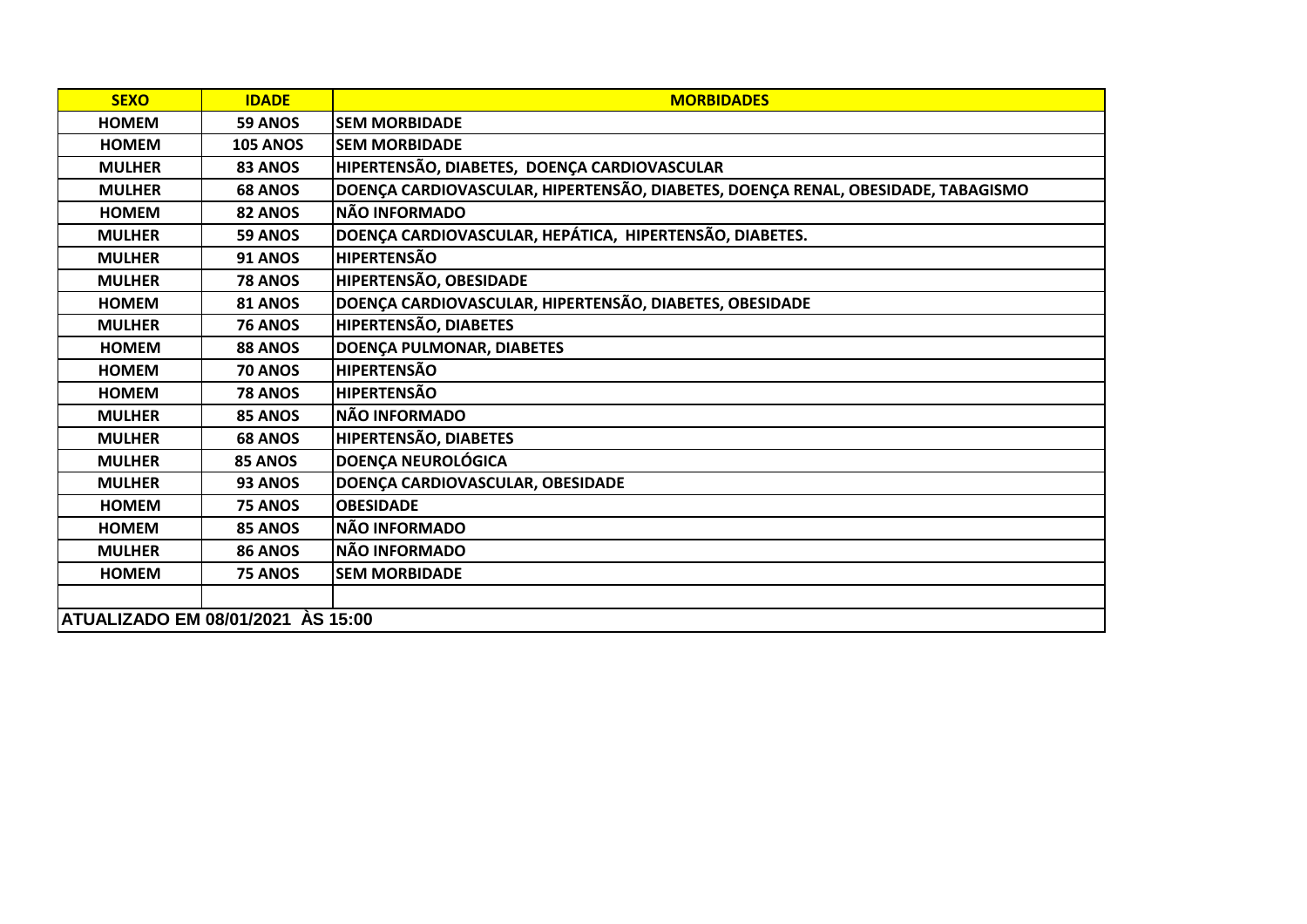| <b>SEXO</b>                       | <b>IDADE</b>    | <b>MORBIDADES</b>                                                                |
|-----------------------------------|-----------------|----------------------------------------------------------------------------------|
| <b>HOMEM</b>                      | 59 ANOS         | <b>SEM MORBIDADE</b>                                                             |
| <b>HOMEM</b>                      | <b>105 ANOS</b> | <b>SEM MORBIDADE</b>                                                             |
| <b>MULHER</b>                     | 83 ANOS         | HIPERTENSÃO, DIABETES, DOENÇA CARDIOVASCULAR                                     |
| <b>MULHER</b>                     | <b>68 ANOS</b>  | DOENÇA CARDIOVASCULAR, HIPERTENSÃO, DIABETES, DOENÇA RENAL, OBESIDADE, TABAGISMO |
| <b>HOMEM</b>                      | 82 ANOS         | <b>NÃO INFORMADO</b>                                                             |
| <b>MULHER</b>                     | 59 ANOS         | DOENÇA CARDIOVASCULAR, HEPÁTICA, HIPERTENSÃO, DIABETES.                          |
| <b>MULHER</b>                     | <b>91 ANOS</b>  | <b>HIPERTENSÃO</b>                                                               |
| <b>MULHER</b>                     | <b>78 ANOS</b>  | HIPERTENSÃO, OBESIDADE                                                           |
| <b>HOMEM</b>                      | <b>81 ANOS</b>  | DOENÇA CARDIOVASCULAR, HIPERTENSÃO, DIABETES, OBESIDADE                          |
| <b>MULHER</b>                     | <b>76 ANOS</b>  | HIPERTENSÃO, DIABETES                                                            |
| <b>HOMEM</b>                      | 88 ANOS         | DOENÇA PULMONAR, DIABETES                                                        |
| <b>HOMEM</b>                      | <b>70 ANOS</b>  | <b>HIPERTENSÃO</b>                                                               |
| <b>HOMEM</b>                      | <b>78 ANOS</b>  | <b>HIPERTENSÃO</b>                                                               |
| <b>MULHER</b>                     | 85 ANOS         | <b>NÃO INFORMADO</b>                                                             |
| <b>MULHER</b>                     | <b>68 ANOS</b>  | <b>HIPERTENSÃO, DIABETES</b>                                                     |
| <b>MULHER</b>                     | 85 ANOS         | <b>DOENÇA NEUROLÓGICA</b>                                                        |
| <b>MULHER</b>                     | 93 ANOS         | DOENÇA CARDIOVASCULAR, OBESIDADE                                                 |
| <b>HOMEM</b>                      | 75 ANOS         | <b>OBESIDADE</b>                                                                 |
| <b>HOMEM</b>                      | 85 ANOS         | <b>NÃO INFORMADO</b>                                                             |
| <b>MULHER</b>                     | <b>86 ANOS</b>  | <b>NÃO INFORMADO</b>                                                             |
| <b>HOMEM</b>                      | 75 ANOS         | <b>SEM MORBIDADE</b>                                                             |
|                                   |                 |                                                                                  |
| ATUALIZADO EM 08/01/2021 ÀS 15:00 |                 |                                                                                  |